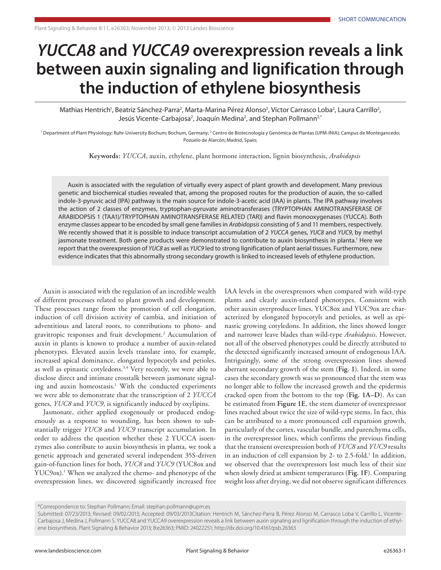## *YUCCA8* **and** *YUCCA9* **overexpression reveals a link between auxin signaling and lignification through the induction of ethylene biosynthesis**

Mathias Hentrich<sup>1</sup>, Beatriz Sánchez-Parra<sup>2</sup>, Marta-Marina Pérez Alonso<sup>2</sup>, Víctor Carrasco Loba<sup>2</sup>, Laura Carrillo<sup>2</sup>, Jesús Vicente-Carbajosa<sup>2</sup>, Joaquín Medina<sup>2</sup>, and Stephan Pollmann<sup>2,\*</sup>

<sup>1</sup> Department of Plant Physiology; Ruhr-University Bochum; Bochum, Germany; <sup>2</sup> Centro de Biotecnología y Genómica de Plantas (UPM-INIA); Campus de Montegancedo; Pozuelo de Alarcón; Madrid, Spain;

**Keywords:** *YUCCA*, auxin, ethylene, plant hormone interaction, lignin biosynthesis, *Arabidopsis*

Auxin is associated with the regulation of virtually every aspect of plant growth and development. Many previous genetic and biochemical studies revealed that, among the proposed routes for the production of auxin, the so-called indole-3-pyruvic acid (IPA) pathway is the main source for indole-3-acetic acid (IAA) in plants. The IPA pathway involves the action of 2 classes of enzymes, tryptophan-pyruvate aminotransferases (TRYPTOPHAN AMINOTRANSFERASE OF ARABIDOPSIS 1 (TAA1)/TRYPTOPHAN AMINOTRANSFERASE RELATED (TAR)) and flavin monooxygenases (YUCCA). Both enzyme classes appear to be encoded by small gene families in *Arabidopsis* consisting of 5 and 11 members, respectively. We recently showed that it is possible to induce transcript accumulation of 2 *YUCCA* genes, *YUC8* and *YUC9*, by methyl jasmonate treatment. Both gene products were demonstrated to contribute to auxin biosynthesis in planta.<sup>1</sup> Here we report that the overexpression of *YUC8* as well as *YUC9* led to strong lignification of plant aerial tissues. Furthermore, new evidence indicates that this abnormally strong secondary growth is linked to increased levels of ethylene production.

Auxin is associated with the regulation of an incredible wealth of different processes related to plant growth and development. These processes range from the promotion of cell elongation, induction of cell division activity of cambia, and initiation of adventitious and lateral roots, to contributions to photo- and gravitropic responses and fruit development.2 Accumulation of auxin in plants is known to produce a number of auxin-related phenotypes. Elevated auxin levels translate into, for example, increased apical dominance, elongated hypocotyls and petioles, as well as epinastic cotyledons.<sup>3,4</sup> Very recently, we were able to disclose direct and intimate crosstalk between jasmonate signaling and auxin homeostasis.<sup>1</sup> With the conducted experiments we were able to demonstrate that the transcription of 2 *YUCCA* genes, *YUC8* and *YUC9*, is significantly induced by oxylipins.

Jasmonate, either applied exogenously or produced endogenously as a response to wounding, has been shown to substantially trigger *YUC8* and *YUC9* transcript accumulation. In order to address the question whether these 2 YUCCA isoenzymes also contribute to auxin biosynthesis in planta, we took a genetic approach and generated several independent 35S-driven gain-of-function lines for both, *YUC8* and *YUC9* (YUC8ox and YUC9ox).<sup>1</sup> When we analyzed the chemo- and phenotype of the overexpression lines, we discovered significantly increased free

IAA levels in the overexpressors when compared with wild-type plants and clearly auxin-related phenotypes. Consistent with other auxin overproducer lines, YUC8ox and YUC9ox are characterized by elongated hypocotyls and petioles, as well as epinastic growing cotyledons. In addition, the lines showed longer and narrower leave blades than wild-type *Arabidopsis*. However, not all of the observed phenotypes could be directly attributed to the detected significantly increased amount of endogenous IAA. Intriguingly, some of the strong overexpression lines showed aberrant secondary growth of the stem (**Fig. 1**). Indeed, in some cases the secondary growth was so pronounced that the stem was no longer able to follow the increased growth and the epidermis cracked open from the bottom to the top (**Fig. 1A–D**). As can be estimated from **Figure 1E**, the stem diameter of overexpressor lines reached about twice the size of wild-type stems. In fact, this can be attributed to a more pronounced cell expansion growth, particularly of the cortex, vascular bundle, and parenchyma cells, in the overexpressor lines, which confirms the previous finding that the transient overexpression both of *YUC8* and *YUC9* results in an induction of cell expansion by 2- to 2.5-fold.<sup>1</sup> In addition, we observed that the overexpressors lost much less of their size when slowly dried at ambient temperatures (**Fig. 1F**). Comparing weight loss after drying, we did not observe significant differences

<sup>\*</sup>Correspondence to: Stephan Pollmann; Email: stephan.pollmann@upm.es

Submitted: 07/23/2013; Revised: 09/02/2013; Accepted: 09/03/2013Citation: Hentrich M, Sánchez-Parra B, Pérez Alonso M, Carrasco Loba V, Carrillo L, Vicente-Carbajosa J, Medina J, Pollmann S. YUCCA8 and YUCCA9 overexpression reveals a link between auxin signaling and lignification through the induction of ethylene biosynthesis. Plant Signaling & Behavior 2013; 8:e26363; PMID: 24022251; http://dx.doi.org/10.4161/psb.26363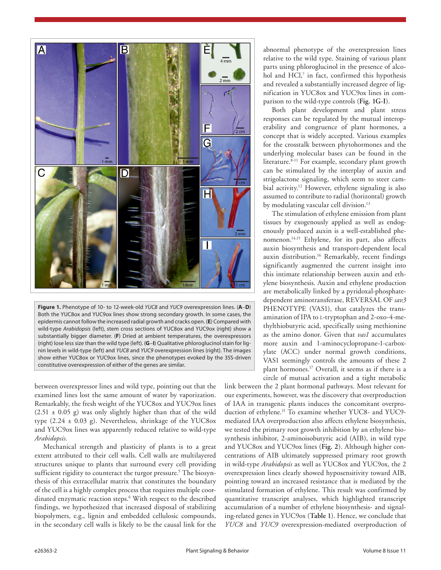

**Figure 1.** Phenotype of 10- to 12-week-old *YUC8* and *YUC9* overexpression lines. (**A**–**D**) Both the YUC8ox and YUC9ox lines show strong secondary growth. In some cases, the epidermis cannot follow the increased radial growth and cracks open. (**E**) Compared with wild-type *Arabidopsis* (left), stem cross sections of YUC8ox and YUC9ox (right) show a substantially bigger diameter. (**F**) Dried at ambient temperatures, the overexpressors (right) lose less size than the wild type (left). (**G**–**I**) Qualitative phloroglucinol stain for lignin levels in wild-type (left) and *YUC8* and *YUC9* overexpression lines (right). The images show either YUC8ox or YUC9ox lines, since the phenotypes evoked by the 35S-driven constitutive overexpression of either of the genes are similar.

between overexpressor lines and wild type, pointing out that the examined lines lost the same amount of water by vaporization. Remarkably, the fresh weight of the YUC8ox and YUC9ox lines  $(2.51 \pm 0.05 \text{ g})$  was only slightly higher than that of the wild type  $(2.24 \pm 0.03 \text{ g})$ . Nevertheless, shrinkage of the YUC8ox and YUC9ox lines was apparently reduced relative to wild-type *Arabidopsis*.

Mechanical strength and plasticity of plants is to a great extent attributed to their cell walls. Cell walls are multilayered structures unique to plants that surround every cell providing sufficient rigidity to counteract the turgor pressure.<sup>5</sup> The biosynthesis of this extracellular matrix that constitutes the boundary of the cell is a highly complex process that requires multiple coordinated enzymatic reaction steps.6 With respect to the described findings, we hypothesized that increased disposal of stabilizing biopolymers, e.g., lignin and embedded cellulosic compounds, in the secondary cell walls is likely to be the causal link for the

abnormal phenotype of the overexpression lines relative to the wild type. Staining of various plant parts using phloroglucinol in the presence of alcohol and HCl,<sup>7</sup> in fact, confirmed this hypothesis and revealed a substantially increased degree of lignification in YUC8ox and YUC9ox lines in comparison to the wild-type controls (**Fig. 1G-I**).

Both plant development and plant stress responses can be regulated by the mutual interoperability and congruence of plant hormones, a concept that is widely accepted. Various examples for the crosstalk between phytohormones and the underlying molecular bases can be found in the literature.<sup>8-11</sup> For example, secondary plant growth can be stimulated by the interplay of auxin and strigolactone signaling, which seem to steer cambial activity.<sup>12</sup> However, ethylene signaling is also assumed to contribute to radial (horizontal) growth by modulating vascular cell division.<sup>13</sup>

The stimulation of ethylene emission from plant tissues by exogenously applied as well as endogenously produced auxin is a well-established phenomenon.<sup>14,15</sup> Ethylene, for its part, also affects auxin biosynthesis and transport-dependent local auxin distribution.<sup>16</sup> Remarkably, recent findings significantly augmented the current insight into this intimate relationship between auxin and ethylene biosynthesis. Auxin and ethylene production are metabolically linked by a pyridoxal-phosphatedependent aminotransferase, REVERSAL OF *sav3* PHENOTYPE (VAS1), that catalyzes the transamination of IPA to l-tryptophan and 2-oxo-4-methylthiobutyric acid, specifically using methionine as the amino donor. Given that *vas1* accumulates more auxin and 1-aminocyclopropane-1-carboxylate (ACC) under normal growth conditions, VAS1 seemingly controls the amounts of these 2 plant hormones.17 Overall, it seems as if there is a circle of mutual activation and a tight metabolic

link between the 2 plant hormonal pathways. Most relevant for our experiments, however, was the discovery that overproduction of IAA in transgenic plants induces the concomitant overproduction of ethylene.15 To examine whether YUC8- and YUC9 mediated IAA overproduction also affects ethylene biosynthesis, we tested the primary root growth inhibition by an ethylene biosynthesis inhibitor, 2-aminoisobutyric acid (AIB), in wild type and YUC8ox and YUC9ox lines (**Fig. 2**). Although higher concentrations of AIB ultimately suppressed primary root growth in wild-type *Arabidopsis* as well as YUC8ox and YUC9ox, the 2 overexpression lines clearly showed hyposensitivity toward AIB, pointing toward an increased resistance that is mediated by the stimulated formation of ethylene. This result was confirmed by quantitative transcript analyses, which highlighted transcript accumulation of a number of ethylene biosynthesis- and signaling-related genes in YUC9ox (**Table 1**). Hence, we conclude that *YUC8* and *YUC9* overexpression-mediated overproduction of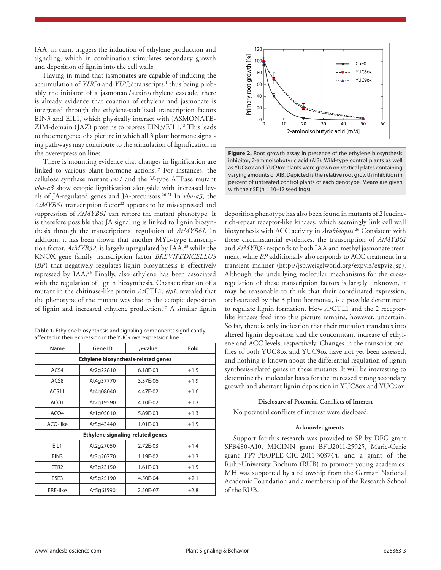IAA, in turn, triggers the induction of ethylene production and signaling, which in combination stimulates secondary growth and deposition of lignin into the cell walls.

Having in mind that jasmonates are capable of inducing the accumulation of *YUC8* and *YUC9* transcripts,<sup>1</sup> thus being probably the initiator of a jasmonate/auxin/ethylene cascade, there is already evidence that coaction of ethylene and jasmonate is integrated through the ethylene-stabilized transcription factors EIN3 and EIL1, which physically interact with JASMONATE-ZIM-domain (JAZ) proteins to repress EIN3/EIL1.<sup>18</sup> This leads to the emergence of a picture in which all 3 plant hormone signaling pathways may contribute to the stimulation of lignification in the overexpression lines.

There is mounting evidence that changes in lignification are linked to various plant hormone actions.19 For instances, the cellulose synthase mutant *cev1* and the V-type ATPase mutant *vha-a3* show ectopic lignification alongside with increased levels of JA-regulated genes and JA-precursors.20,21 In *vha-a3*, the AtMYB61 transcription factor<sup>22</sup> appears to be misexpressed and suppression of *AtMYB61* can restore the mutant phenotype. It is therefore possible that JA signaling is linked to lignin biosynthesis through the transcriptional regulation of *AtMYB61*. In addition, it has been shown that another MYB-type transcription factor, *AtMYB32*, is largely upregulated by IAA,<sup>23</sup> while the KNOX gene family transcription factor *BREVIPEDICELLUS* (*BP*) that negatively regulates lignin biosynthesis is effectively repressed by IAA.<sup>24</sup> Finally, also ethylene has been associated with the regulation of lignin biosynthesis. Characterization of a mutant in the chitinase-like protein *At*CTL1, *elp1*, revealed that the phenotype of the mutant was due to the ectopic deposition of lignin and increased ethylene production.25 A similar lignin

| <b>Table 1.</b> Ethylene biosynthesis and signaling components significantly |
|------------------------------------------------------------------------------|
| affected in their expression in the YUC9 overexpression line                 |

| Name                                       | Gene ID   | $p$ -value | Fold   |  |
|--------------------------------------------|-----------|------------|--------|--|
| <b>Ethylene biosynthesis-related genes</b> |           |            |        |  |
| ACS4                                       | At2g22810 | 6.18E-03   | $+1.5$ |  |
| ACS8                                       | At4g37770 | 3.37E-06   | $+1.9$ |  |
| ACS11                                      | At4q08040 | 4.47E-02   | $+1.6$ |  |
| ACO1                                       | At2q19590 | 4.10E-02   | $+1.3$ |  |
| ACO <sub>4</sub>                           | At1q05010 | 5.89E-03   | $+1.3$ |  |
| ACO-like                                   | At5q43440 | 1.01E-03   | $+1.5$ |  |
| <b>Ethylene signaling-related genes</b>    |           |            |        |  |
| EIL1                                       | At2q27050 | 2.72E-03   | $+1.4$ |  |
| EIN <sub>3</sub>                           | At3q20770 | 1.19E-02   | $+1.3$ |  |
| ETR <sub>2</sub>                           | At3q23150 | 1.61E-03   | $+1.5$ |  |
| ESE3                                       | At5q25190 | 4.50E-04   | $+2.1$ |  |
| <b>ERF-like</b>                            | At5q61590 | 2.50E-07   | $+2.8$ |  |





deposition phenotype has also been found in mutants of 2 leucinerich-repeat receptor-like kinases, which seemingly link cell wall biosynthesis with ACC activity in *Arabidopsis*. 26 Consistent with these circumstantial evidences, the transcription of *AtMYB61* and *AtMYB32* responds to both IAA and methyl jasmonate treatment, while *BP* additionally also responds to ACC treatment in a transient manner (http://jsp.weigelworld.org/expviz/expviz.jsp). Although the underlying molecular mechanisms for the crossregulation of these transcription factors is largely unknown, it may be reasonable to think that their coordinated expression, orchestrated by the 3 plant hormones, is a possible determinant to regulate lignin formation. How *At*CTL1 and the 2 receptorlike kinases feed into this picture remains, however, uncertain. So far, there is only indication that their mutation translates into altered lignin deposition and the concomitant increase of ethylene and ACC levels, respectively. Changes in the transcript profiles of both YUC8ox and YUC9ox have not yet been assessed, and nothing is known about the differential regulation of lignin synthesis-related genes in these mutants. It will be interesting to determine the molecular bases for the increased strong secondary growth and aberrant lignin deposition in YUC8ox and YUC9ox.

## **Disclosure of Potential Conflicts of Interest**

No potential conflicts of interest were disclosed.

## **Acknowledgments**

Support for this research was provided to SP by DFG grant SFB480-A10, MICINN grant BFU2011-25925, Marie-Curie grant FP7-PEOPLE-CIG-2011-303744, and a grant of the Ruhr-University Bochum (RUB) to promote young academics. MH was supported by a fellowship from the German National Academic Foundation and a membership of the Research School of the RUB.